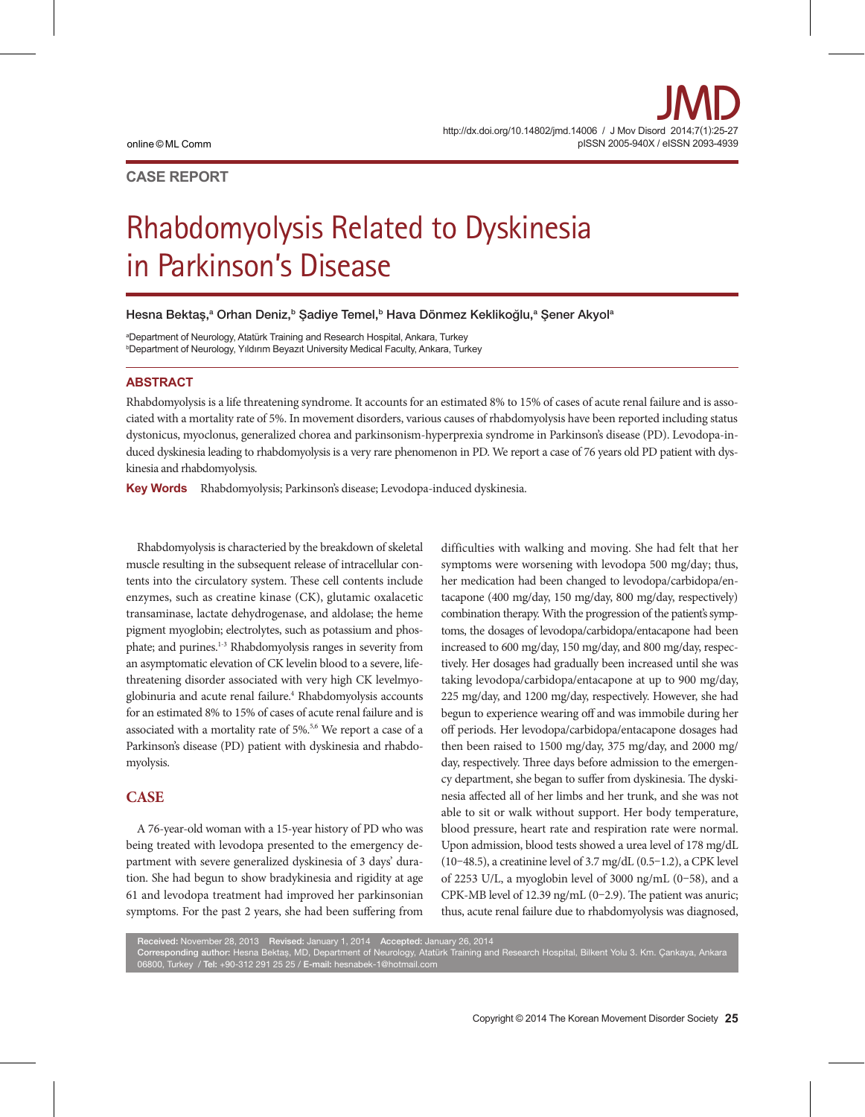# **CASE REPORT**

# Rhabdomyolysis Related to Dyskinesia in Parkinson's Disease

Hesna Bektaş,ª Orhan Deniz,ʰ Şadiye Temel,ʰ Hava Dönmez Keklikoğlu,ª Şener Akyolª

a Department of Neurology, Atatürk Training and Research Hospital, Ankara, Turkey b Department of Neurology, Yıldırım Beyazıt University Medical Faculty, Ankara, Turkey

### **ABSTRACT**

Rhabdomyolysis is a life threatening syndrome. It accounts for an estimated 8% to 15% of cases of acute renal failure and is associated with a mortality rate of 5%. In movement disorders, various causes of rhabdomyolysis have been reported including status dystonicus, myoclonus, generalized chorea and parkinsonism-hyperprexia syndrome in Parkinson's disease (PD). Levodopa-induced dyskinesia leading to rhabdomyolysis is a very rare phenomenon in PD. We report a case of 76 years old PD patient with dyskinesia and rhabdomyolysis.

Key Words Rhabdomyolysis; Parkinson's disease; Levodopa-induced dyskinesia.

Rhabdomyolysis is characteried by the breakdown of skeletal muscle resulting in the subsequent release of intracellular contents into the circulatory system. These cell contents include enzymes, such as creatine kinase (CK), glutamic oxalacetic transaminase, lactate dehydrogenase, and aldolase; the heme pigment myoglobin; electrolytes, such as potassium and phosphate; and purines.<sup>1-3</sup> Rhabdomyolysis ranges in severity from an asymptomatic elevation of CK levelin blood to a severe, lifethreatening disorder associated with very high CK levelmyoglobinuria and acute renal failure.<sup>4</sup> Rhabdomyolysis accounts for an estimated 8% to 15% of cases of acute renal failure and is associated with a mortality rate of 5%.<sup>5,6</sup> We report a case of a Parkinson's disease (PD) patient with dyskinesia and rhabdomyolysis.

## **CASE**

A 76-year-old woman with a 15-year history of PD who was being treated with levodopa presented to the emergency department with severe generalized dyskinesia of 3 days' duration. She had begun to show bradykinesia and rigidity at age 61 and levodopa treatment had improved her parkinsonian symptoms. For the past 2 years, she had been suffering from

difficulties with walking and moving. She had felt that her symptoms were worsening with levodopa 500 mg/day; thus, her medication had been changed to levodopa/carbidopa/entacapone (400 mg/day, 150 mg/day, 800 mg/day, respectively) combination therapy. With the progression of the patient's symptoms, the dosages of levodopa/carbidopa/entacapone had been increased to 600 mg/day, 150 mg/day, and 800 mg/day, respectively. Her dosages had gradually been increased until she was taking levodopa/carbidopa/entacapone at up to 900 mg/day, 225 mg/day, and 1200 mg/day, respectively. However, she had begun to experience wearing off and was immobile during her off periods. Her levodopa/carbidopa/entacapone dosages had then been raised to 1500 mg/day, 375 mg/day, and 2000 mg/ day, respectively. Three days before admission to the emergency department, she began to suffer from dyskinesia. The dyskinesia affected all of her limbs and her trunk, and she was not able to sit or walk without support. Her body temperature, blood pressure, heart rate and respiration rate were normal. Upon admission, blood tests showed a urea level of 178 mg/dL (10–48.5), a creatinine level of 3.7 mg/dL (0.5–1.2), a CPK level of 2253 U/L, a myoglobin level of 3000 ng/mL (0–58), and a CPK-MB level of 12.39 ng/mL (0–2.9). The patient was anuric; thus, acute renal failure due to rhabdomyolysis was diagnosed,

Received: November 28, 2013 Revised: January 1, 2014 Accepted: January 26, 2014

Corresponding author: Hesna Bektas¸ , MD, Department of Neurology, Atatürk Training and Research Hospital, Bilkent Yolu 3. Km. Çankaya, Ankara 06800, Turkey / Tel: +90-312 291 25 25 / E-mail: hesnabek-1@hotmail.com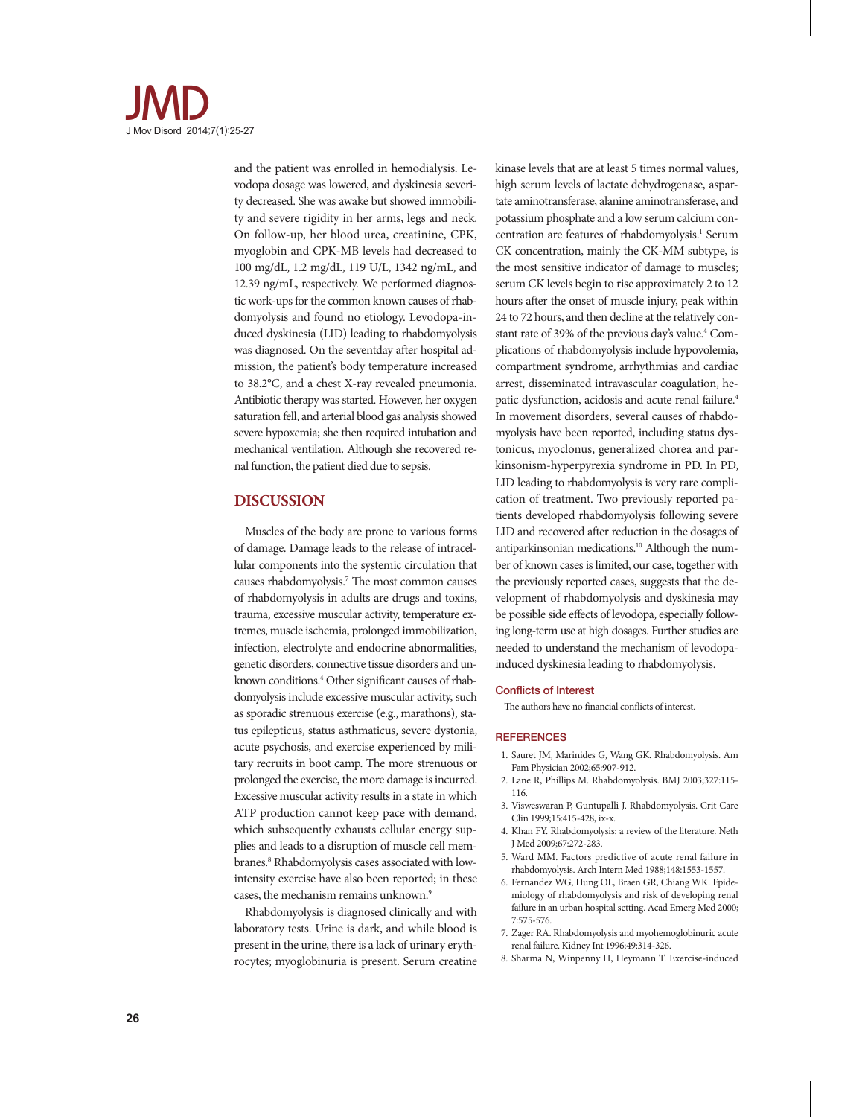

and the patient was enrolled in hemodialysis. Levodopa dosage was lowered, and dyskinesia severity decreased. She was awake but showed immobility and severe rigidity in her arms, legs and neck. On follow-up, her blood urea, creatinine, CPK, myoglobin and CPK-MB levels had decreased to 100 mg/dL, 1.2 mg/dL, 119 U/L, 1342 ng/mL, and 12.39 ng/mL, respectively. We performed diagnostic work-ups for the common known causes of rhabdomyolysis and found no etiology. Levodopa-induced dyskinesia (LID) leading to rhabdomyolysis was diagnosed. On the seventday after hospital admission, the patient's body temperature increased to 38.2°C, and a chest X-ray revealed pneumonia. Antibiotic therapy was started. However, her oxygen saturation fell, and arterial blood gas analysis showed severe hypoxemia; she then required intubation and mechanical ventilation. Although she recovered renal function, the patient died due to sepsis.

## **DISCUSSION**

Muscles of the body are prone to various forms of damage. Damage leads to the release of intracellular components into the systemic circulation that causes rhabdomyolysis.7 The most common causes of rhabdomyolysis in adults are drugs and toxins, trauma, excessive muscular activity, temperature extremes, muscle ischemia, prolonged immobilization, infection, electrolyte and endocrine abnormalities, genetic disorders, connective tissue disorders and unknown conditions.4 Other significant causes of rhabdomyolysis include excessive muscular activity, such as sporadic strenuous exercise (e.g., marathons), status epilepticus, status asthmaticus, severe dystonia, acute psychosis, and exercise experienced by military recruits in boot camp. The more strenuous or prolonged the exercise, the more damage is incurred. Excessive muscular activity results in a state in which ATP production cannot keep pace with demand, which subsequently exhausts cellular energy supplies and leads to a disruption of muscle cell membranes.<sup>8</sup> Rhabdomyolysis cases associated with lowintensity exercise have also been reported; in these cases, the mechanism remains unknown.<sup>9</sup>

Rhabdomyolysis is diagnosed clinically and with laboratory tests. Urine is dark, and while blood is present in the urine, there is a lack of urinary erythrocytes; myoglobinuria is present. Serum creatine kinase levels that are at least 5 times normal values, high serum levels of lactate dehydrogenase, aspartate aminotransferase, alanine aminotransferase, and potassium phosphate and a low serum calcium concentration are features of rhabdomyolysis.<sup>1</sup> Serum CK concentration, mainly the CK-MM subtype, is the most sensitive indicator of damage to muscles; serum CK levels begin to rise approximately 2 to 12 hours after the onset of muscle injury, peak within 24 to 72 hours, and then decline at the relatively constant rate of 39% of the previous day's value.<sup>4</sup> Complications of rhabdomyolysis include hypovolemia, compartment syndrome, arrhythmias and cardiac arrest, disseminated intravascular coagulation, hepatic dysfunction, acidosis and acute renal failure.<sup>4</sup> In movement disorders, several causes of rhabdomyolysis have been reported, including status dystonicus, myoclonus, generalized chorea and parkinsonism-hyperpyrexia syndrome in PD. In PD, LID leading to rhabdomyolysis is very rare complication of treatment. Two previously reported patients developed rhabdomyolysis following severe LID and recovered after reduction in the dosages of antiparkinsonian medications.10 Although the number of known cases is limited, our case, together with the previously reported cases, suggests that the development of rhabdomyolysis and dyskinesia may be possible side effects of levodopa, especially following long-term use at high dosages. Further studies are needed to understand the mechanism of levodopainduced dyskinesia leading to rhabdomyolysis.

#### Conflicts of Interest

The authors have no financial conflicts of interest.

#### **REFERENCES**

- 1. Sauret JM, Marinides G, Wang GK. Rhabdomyolysis. Am Fam Physician 2002;65:907-912.
- 2. Lane R, Phillips M. Rhabdomyolysis. BMJ 2003;327:115- 116.
- 3. Visweswaran P, Guntupalli J. Rhabdomyolysis. Crit Care Clin 1999;15:415-428, ix-x.
- 4. Khan FY. Rhabdomyolysis: a review of the literature. Neth J Med 2009;67:272-283.
- 5. Ward MM. Factors predictive of acute renal failure in rhabdomyolysis. Arch Intern Med 1988;148:1553-1557.
- 6. Fernandez WG, Hung OL, Braen GR, Chiang WK. Epidemiology of rhabdomyolysis and risk of developing renal failure in an urban hospital setting. Acad Emerg Med 2000; 7:575-576.
- 7. Zager RA. Rhabdomyolysis and myohemoglobinuric acute renal failure. Kidney Int 1996;49:314-326.
- 8. Sharma N, Winpenny H, Heymann T. Exercise-induced